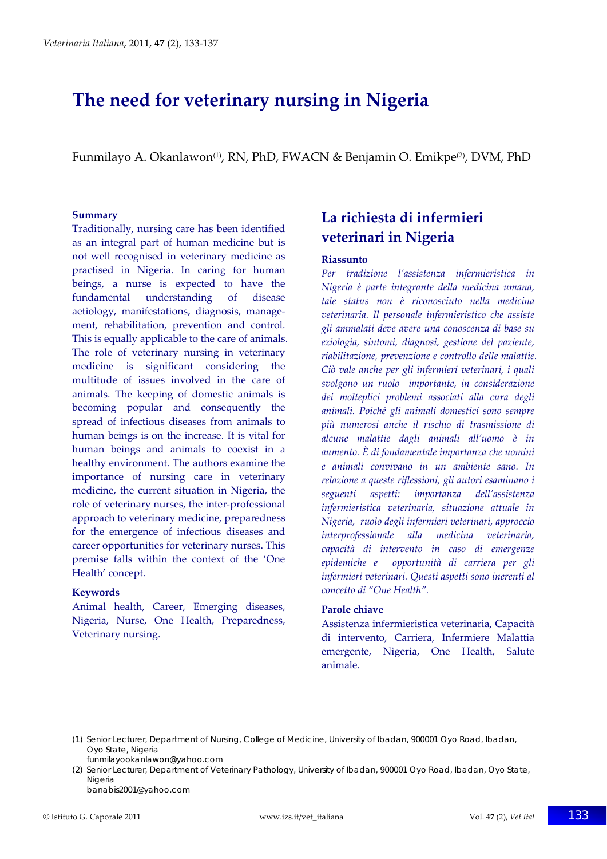# **The need for veterinary nursing in Nigeria**

Funmilayo A. Okanlawon<sup>(1)</sup>, RN, PhD, FWACN & Benjamin O. Emikpe<sup>(2)</sup>, DVM, PhD

#### **Summary**

Traditionally, nursing care has been identified as an integral part of human medicine but is not well recognised in veterinary medicine as practised in Nigeria. In caring for human beings, a nurse is expected to have the fundamental understanding of disease aetiology, manifestations, diagnosis, manage‐ ment, rehabilitation, prevention and control. This is equally applicable to the care of animals. The role of veterinary nursing in veterinary medicine is significant considering the multitude of issues involved in the care of animals. The keeping of domestic animals is becoming popular and consequently the spread of infectious diseases from animals to human beings is on the increase. It is vital for human beings and animals to coexist in a healthy environment. The authors examine the importance of nursing care in veterinary medicine, the current situation in Nigeria, the role of veterinary nurses, the inter‐professional approach to veterinary medicine, preparedness for the emergence of infectious diseases and career opportunities for veterinary nurses. This premise falls within the context of the 'One Health' concept.

#### **Keywords**

Animal health, Career, Emerging diseases, Nigeria, Nurse, One Health, Preparedness, Veterinary nursing.

## **La richiesta di infermieri veterinari in Nigeria**

#### **Riassunto**

*Per tradizione l'assistenza infermieristica in Nigeria è parte integrante della medicina umana, tale status non è riconosciuto nella medicina veterinaria. Il personale infermieristico che assiste gli ammalati deve avere una conoscenza di base su eziologia, sintomi, diagnosi, gestione del paziente, riabilitazione, prevenzione e controllo delle malattie. Ciò vale anche per gli infermieri veterinari, i quali svolgono un ruolo importante, in considerazione dei molteplici problemi associati alla cura degli animali. Poiché gli animali domestici sono sempre più numerosi anche il rischio di trasmissione di alcune malattie dagli animali all'uomo è in aumento. È di fondamentale importanza che uomini e animali convivano in un ambiente sano. In relazione a queste riflessioni, gli autori esaminano i seguenti aspetti: importanza dell'assistenza infermieristica veterinaria, situazione attuale in Nigeria, ruolo degli infermieri veterinari, approccio interprofessionale alla medicina veterinaria, capacità di intervento in caso di emergenze epidemiche e opportunità di carriera per gli infermieri veterinari. Questi aspetti sono inerenti al concetto di "One Health".*

#### **Parole chiave**

Assistenza infermieristica veterinaria, Capacità di intervento, Carriera, Infermiere Malattia emergente, Nigeria, One Health, Salute animale.

banabis2001@yahoo.com

<sup>(1)</sup> Senior Lecturer, Department of Nursing, College of Medicine, University of Ibadan, 900001 Oyo Road, Ibadan, Oyo State, Nigeria funmilayookanlawon@yahoo.com

<sup>(2)</sup> Senior Lecturer, Department of Veterinary Pathology, University of Ibadan, 900001 Oyo Road, Ibadan, Oyo State, Nigeria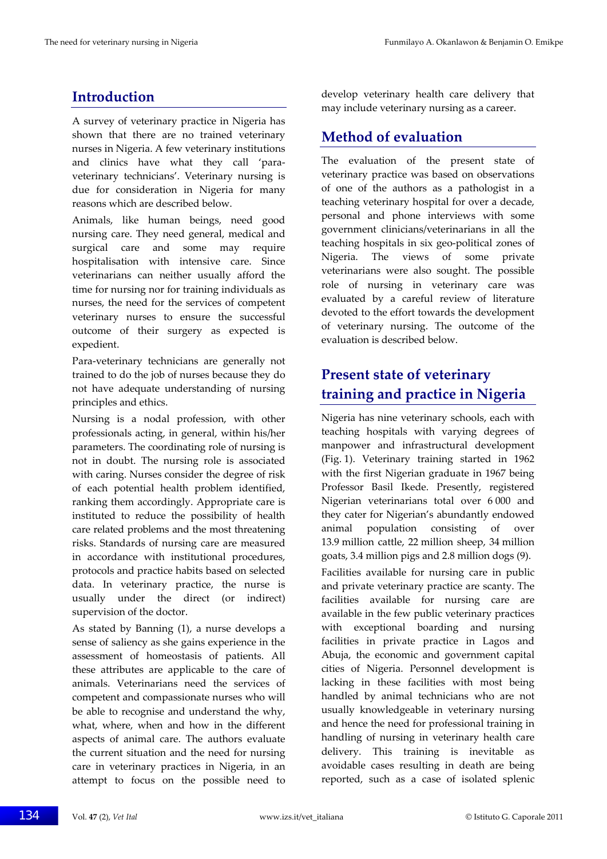## **Introduction**

A survey of veterinary practice in Nigeria has shown that there are no trained veterinary nurses in Nigeria. A few veterinary institutions and clinics have what they call 'para‐ veterinary technicians'. Veterinary nursing is due for consideration in Nigeria for many reasons which are described below.

Animals, like human beings, need good nursing care. They need general, medical and surgical care and some may require hospitalisation with intensive care. Since veterinarians can neither usually afford the time for nursing nor for training individuals as nurses, the need for the services of competent veterinary nurses to ensure the successful outcome of their surgery as expected is expedient.

Para‐veterinary technicians are generally not trained to do the job of nurses because they do not have adequate understanding of nursing principles and ethics.

Nursing is a nodal profession, with other professionals acting, in general, within his/her parameters. The coordinating role of nursing is not in doubt. The nursing role is associated with caring. Nurses consider the degree of risk of each potential health problem identified, ranking them accordingly. Appropriate care is instituted to reduce the possibility of health care related problems and the most threatening risks. Standards of nursing care are measured in accordance with institutional procedures, protocols and practice habits based on selected data. In veterinary practice, the nurse is usually under the direct (or indirect) supervision of the doctor.

As stated by Banning (1), a nurse develops a sense of saliency as she gains experience in the assessment of homeostasis of patients. All these attributes are applicable to the care of animals. Veterinarians need the services of competent and compassionate nurses who will be able to recognise and understand the why, what, where, when and how in the different aspects of animal care. The authors evaluate the current situation and the need for nursing care in veterinary practices in Nigeria, in an attempt to focus on the possible need to

develop veterinary health care delivery that may include veterinary nursing as a career.

## **Method of evaluation**

The evaluation of the present state of veterinary practice was based on observations of one of the authors as a pathologist in a teaching veterinary hospital for over a decade, personal and phone interviews with some government clinicians/veterinarians in all the teaching hospitals in six geo‐political zones of Nigeria. The views of some private veterinarians were also sought. The possible role of nursing in veterinary care was evaluated by a careful review of literature devoted to the effort towards the development of veterinary nursing. The outcome of the evaluation is described below.

## **Present state of veterinary training and practice in Nigeria**

Nigeria has nine veterinary schools, each with teaching hospitals with varying degrees of manpower and infrastructural development (Fig. 1). Veterinary training started in 1962 with the first Nigerian graduate in 1967 being Professor Basil Ikede. Presently, registered Nigerian veterinarians total over 6 000 and they cater for Nigerian's abundantly endowed animal population consisting of over 13.9 million cattle, 22 million sheep, 34 million goats, 3.4 million pigs and 2.8 million dogs (9).

Facilities available for nursing care in public and private veterinary practice are scanty. The facilities available for nursing care are available in the few public veterinary practices with exceptional boarding and nursing facilities in private practice in Lagos and Abuja, the economic and government capital cities of Nigeria. Personnel development is lacking in these facilities with most being handled by animal technicians who are not usually knowledgeable in veterinary nursing and hence the need for professional training in handling of nursing in veterinary health care delivery. This training is inevitable as avoidable cases resulting in death are being reported, such as a case of isolated splenic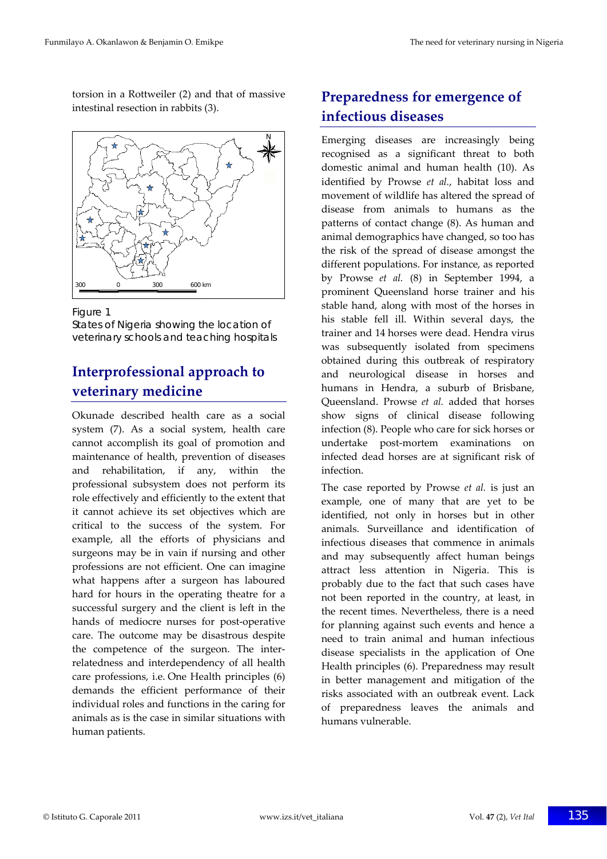torsion in a Rottweiler (2) and that of massive intestinal resection in rabbits (3).



Figure 1

States of Nigeria showing the location of veterinary schools and teaching hospitals

## **Interprofessional approach to veterinary medicine**

Okunade described health care as a social system (7). As a social system, health care cannot accomplish its goal of promotion and maintenance of health, prevention of diseases and rehabilitation, if any, within the professional subsystem does not perform its role effectively and efficiently to the extent that it cannot achieve its set objectives which are critical to the success of the system. For example, all the efforts of physicians and surgeons may be in vain if nursing and other professions are not efficient. One can imagine what happens after a surgeon has laboured hard for hours in the operating theatre for a successful surgery and the client is left in the hands of mediocre nurses for post-operative care. The outcome may be disastrous despite the competence of the surgeon. The inter‐ relatedness and interdependency of all health care professions, i.e. One Health principles (6) demands the efficient performance of their individual roles and functions in the caring for animals as is the case in similar situations with human patients.

## **Preparedness for emergence of infectious diseases**

Emerging diseases are increasingly being recognised as a significant threat to both domestic animal and human health (10). As identified by Prowse *et al.*, habitat loss and movement of wildlife has altered the spread of disease from animals to humans as the patterns of contact change (8). As human and animal demographics have changed, so too has the risk of the spread of disease amongst the different populations. For instance, as reported by Prowse *et al.* (8) in September 1994, a prominent Queensland horse trainer and his stable hand, along with most of the horses in his stable fell ill. Within several days, the trainer and 14 horses were dead. Hendra virus was subsequently isolated from specimens obtained during this outbreak of respiratory and neurological disease in horses and humans in Hendra, a suburb of Brisbane, Queensland. Prowse *et al.* added that horses show signs of clinical disease following infection (8). People who care for sick horses or undertake post‐mortem examinations on infected dead horses are at significant risk of infection.

The case reported by Prowse *et al.* is just an example, one of many that are yet to be identified, not only in horses but in other animals. Surveillance and identification of infectious diseases that commence in animals and may subsequently affect human beings attract less attention in Nigeria. This is probably due to the fact that such cases have not been reported in the country, at least, in the recent times. Nevertheless, there is a need for planning against such events and hence a need to train animal and human infectious disease specialists in the application of One Health principles (6). Preparedness may result in better management and mitigation of the risks associated with an outbreak event. Lack of preparedness leaves the animals and humans vulnerable.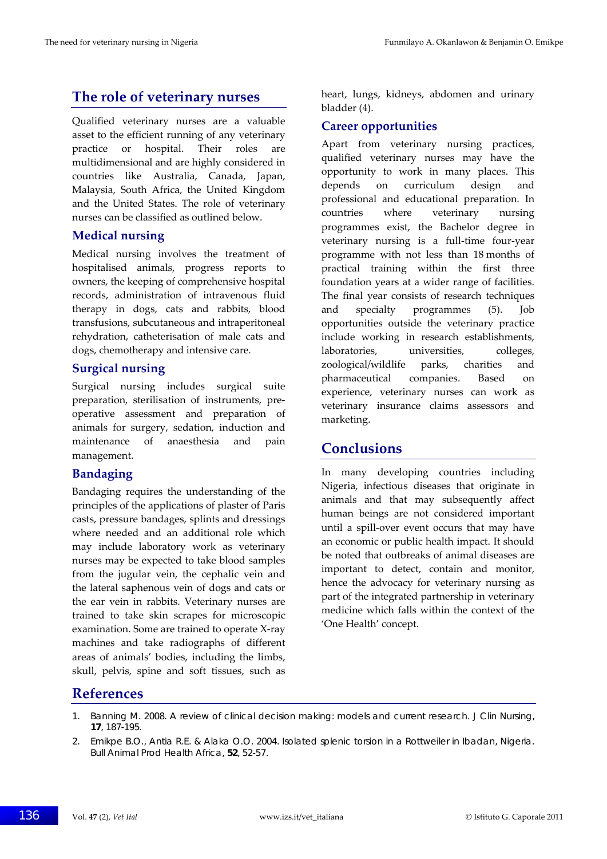### **The role of veterinary nurses**

Qualified veterinary nurses are a valuable asset to the efficient running of any veterinary practice or hospital. Their roles are multidimensional and are highly considered in countries like Australia, Canada, Japan, Malaysia, South Africa, the United Kingdom and the United States. The role of veterinary nurses can be classified as outlined below.

#### **Medical nursing**

Medical nursing involves the treatment of hospitalised animals, progress reports to owners, the keeping of comprehensive hospital records, administration of intravenous fluid therapy in dogs, cats and rabbits, blood transfusions, subcutaneous and intraperitoneal rehydration, catheterisation of male cats and dogs, chemotherapy and intensive care.

#### **Surgical nursing**

Surgical nursing includes surgical suite preparation, sterilisation of instruments, pre‐ operative assessment and preparation of animals for surgery, sedation, induction and maintenance of anaesthesia and pain management.

#### **Bandaging**

Bandaging requires the understanding of the principles of the applications of plaster of Paris casts, pressure bandages, splints and dressings where needed and an additional role which may include laboratory work as veterinary nurses may be expected to take blood samples from the jugular vein, the cephalic vein and the lateral saphenous vein of dogs and cats or the ear vein in rabbits. Veterinary nurses are trained to take skin scrapes for microscopic examination. Some are trained to operate X‐ray machines and take radiographs of different areas of animals' bodies, including the limbs, skull, pelvis, spine and soft tissues, such as

heart, lungs, kidneys, abdomen and urinary bladder (4).

### **Career opportunities**

Apart from veterinary nursing practices, qualified veterinary nurses may have the opportunity to work in many places. This depends on curriculum design and professional and educational preparation. In countries where veterinary nursing programmes exist, the Bachelor degree in veterinary nursing is a full-time four-year programme with not less than 18 months of practical training within the first three foundation years at a wider range of facilities. The final year consists of research techniques and specialty programmes (5). Job opportunities outside the veterinary practice include working in research establishments, laboratories, universities, colleges, zoological/wildlife parks, charities and pharmaceutical companies. Based on experience, veterinary nurses can work as veterinary insurance claims assessors and marketing.

### **Conclusions**

In many developing countries including Nigeria, infectious diseases that originate in animals and that may subsequently affect human beings are not considered important until a spill‐over event occurs that may have an economic or public health impact. It should be noted that outbreaks of animal diseases are important to detect, contain and monitor, hence the advocacy for veterinary nursing as part of the integrated partnership in veterinary medicine which falls within the context of the 'One Health' concept.

### **References**

<sup>1.</sup> Banning M. 2008. A review of clinical decision making: models and current research. *J Clin Nursing*, **17**, 187-195.

<sup>2.</sup> Emikpe B.O., Antia R.E. & Alaka O.O. 2004. Isolated splenic torsion in a Rottweiler in Ibadan, Nigeria. *Bull Animal Prod Health Africa*, **52**, 52-57.